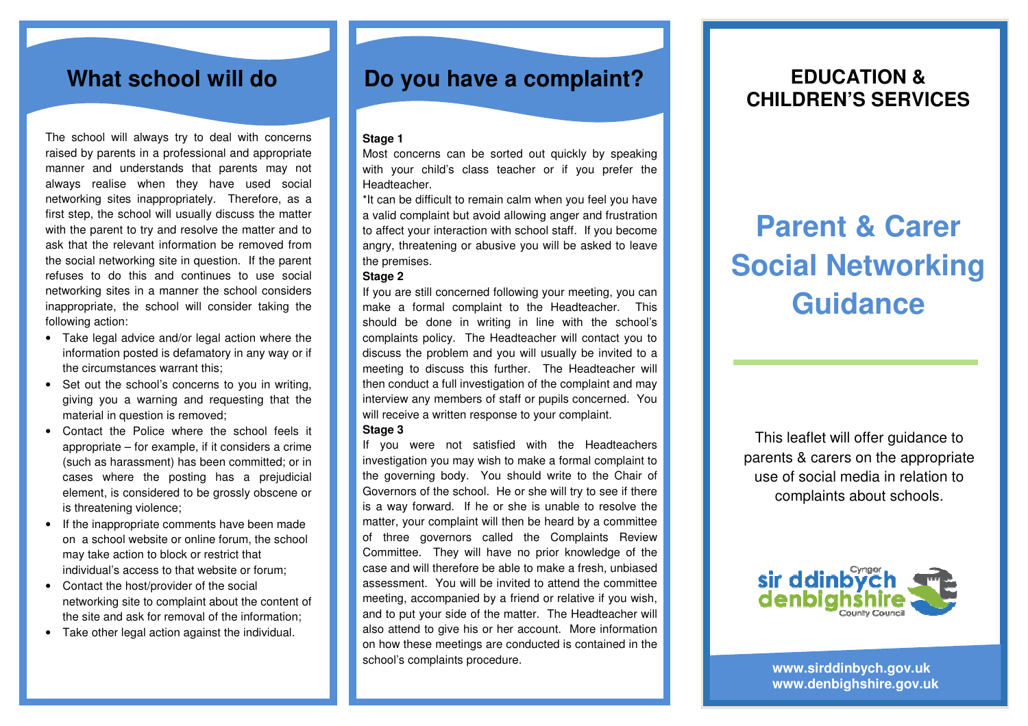The school will always try to deal with concerns raised by parents in a professional and appropriate manner and understands that parents may not always realise when they have used social networking sites inappropriately. Therefore, as a first step, the school will usually discuss the matter with the parent to try and resolve the matter and to ask that the relevant information be removed from the social networking site in question. If the parent refuses to do this and continues to use social networking sites in a manner the school considers inappropriate, the school will consider taking the following action:

- Take legal advice and/or legal action where the information posted is defamatory in any way or if the circumstances warrant this;
- Set out the school's concerns to you in writing, giving you a warning and requesting that the material in question is removed;
- Contact the Police where the school feels it appropriate – for example, if it considers a crime (such as harassment) has been committed; or in cases where the posting has a prejudicial element, is considered to be grossly obscene or is threatening violence;
- If the inappropriate comments have been made on a school website or online forum, the school may take action to block or restrict that individual's access to that website or forum;
- Contact the host/provider of the social networking site to complaint about the content of the site and ask for removal of the information;
- Take other legal action against the individual.

## What school will do **Do you have a complaint?**

### **Stage 1**

 Most concerns can be sorted out quickly by speaking with your child's class teacher or if you prefer the Headteacher.

\*It can be difficult to remain calm when you feel you have a valid complaint but avoid allowing anger and frustration to affect your interaction with school staff. If you become angry, threatening or abusive you will be asked to leave the premises.

### **Stage 2**

 If you are still concerned following your meeting, you can make a formal complaint to the Headteacher. This should be done in writing in line with the school's complaints policy. The Headteacher will contact you to discuss the problem and you will usually be invited to a meeting to discuss this further. The Headteacher will then conduct a full investigation of the complaint and may interview any members of staff or pupils concerned. You will receive a written response to your complaint.

### **Stage 3**

 If you were not satisfied with the Headteachers investigation you may wish to make a formal complaint to the governing body. You should write to the Chair of Governors of the school. He or she will try to see if there is a way forward. If he or she is unable to resolve the matter, your complaint will then be heard by a committee of three governors called the Complaints Review Committee. They will have no prior knowledge of the case and will therefore be able to make a fresh, unbiased assessment. You will be invited to attend the committee meeting, accompanied by a friend or relative if you wish, and to put your side of the matter. The Headteacher will also attend to give his or her account. More information on how these meetings are conducted is contained in the school's complaints procedure.

## **EDUCATION & CHILDREN'S SERVICES**

# **Parent & Carer Social Networking Guidance**

This leaflet will offer guidance to parents & carers on the appropriate use of social media in relation to complaints about schools.